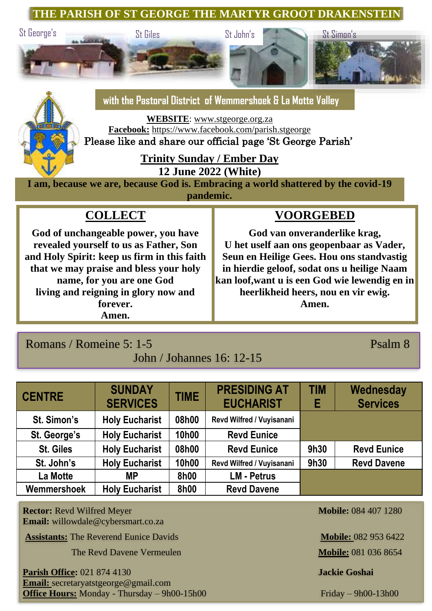### **THE PARISH OF ST GEORGE THE MARTYR GROOT DRAKENSTEIN**



# **with the Pastoral District of Wemmershoek & La Motte Valley**

**WEBSITE**: [www.stgeorge.org.za](http://www.stgeorge.org.za/) **Facebook:** <https://www.facebook.com/parish.stgeorge>

Please like and share our official page 'St George Parish'

## **Trinity Sunday / Ember Day**

**12 June 2022 (White)**

**I am, because we are, because God is. Embracing a world shattered by the covid-19 pandemic.**

# **COLLECT**

**God of unchangeable power, you have revealed yourself to us as Father, Son and Holy Spirit: keep us firm in this faith that we may praise and bless your holy name, for you are one God living and reigning in glory now and forever. Amen.**

## **VOORGEBED**

**God van onveranderlike krag, U het uself aan ons geopenbaar as Vader, Seun en Heilige Gees. Hou ons standvastig in hierdie geloof, sodat ons u heilige Naam kan loof,want u is een God wie lewendig en in heerlikheid heers, nou en vir ewig. Amen.**

# Romans / Romeine 5: 1-5 Psalm 8

### John / Johannes 16: 12-15

| <b>CENTRE</b> | <b>SUNDAY</b><br><b>SERVICES</b> | <b>TIME</b> | <b>PRESIDING AT</b><br><b>EUCHARIST</b> | <b>TIM</b><br>Е | Wednesday<br><b>Services</b> |
|---------------|----------------------------------|-------------|-----------------------------------------|-----------------|------------------------------|
| St. Simon's   | <b>Holy Eucharist</b>            | 08h00       | Revd Wilfred / Vuyisanani               |                 |                              |
| St. George's  | <b>Holy Eucharist</b>            | 10h00       | <b>Revd Eunice</b>                      |                 |                              |
| St. Giles     | <b>Holy Eucharist</b>            | 08h00       | <b>Revd Eunice</b>                      | 9h30            | <b>Revd Eunice</b>           |
| St. John's    | <b>Holy Eucharist</b>            | 10h00       | Revd Wilfred / Vuyisanani               | 9h30            | <b>Revd Davene</b>           |
| La Motte      | МP                               | 8h00        | <b>LM - Petrus</b>                      |                 |                              |
| Wemmershoek   | <b>Holy Eucharist</b>            | 8h00        | <b>Revd Davene</b>                      |                 |                              |

**Rector:** Revd Wilfred Meyer **Mobile:** 084 407 1280 **Email:** willowdale@cybersmart.co.za

**Assistants:** The Reverend Eunice Davids **Mobile: 082 953 6422** 

**The Revd Davene Vermeulen <b>Mobile:** 081 036 8654

**Parish Office:** 021 874 4130 **Jackie Goshai Email:** secretaryatstgeorge@gmail.com **Office Hours:** Monday - Thursday – 9h00-15h00 Friday – 9h00-13h00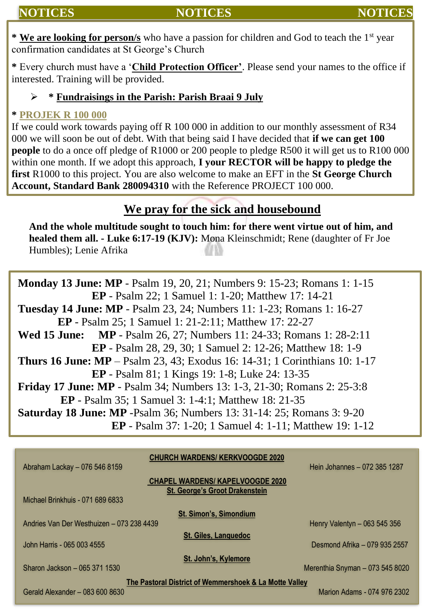## **NOTICES NOTICES NOTICES**

**\* We are looking for person/s** who have a passion for children and God to teach the 1st year confirmation candidates at St George's Church

**\*** Every church must have a '**Child Protection Officer'**. Please send your names to the office if interested. Training will be provided.

#### ➢ **\* Fundraisings in the Parish: Parish Braai 9 July**

#### **\* PROJEK R 100 000**

If we could work towards paying off R 100 000 in addition to our monthly assessment of R34 000 we will soon be out of debt. With that being said I have decided that **if we can get 100 people** to do a once off pledge of R1000 or 200 people to pledge R500 it will get us to R100 000 within one month. If we adopt this approach, **I your RECTOR will be happy to pledge the first** R1000 to this project. You are also welcome to make an EFT in the **St George Church Account, Standard Bank 280094310** with the Reference PROJECT 100 000.

## **We pray for the sick and housebound**

**And the whole multitude sought to touch him: for there went virtue out of him, and healed them all. - Luke 6:17-19 (KJV):** Mona Kleinschmidt; Rene (daughter of Fr Joe Humbles); Lenie Afrika

**Monday 13 June: MP** - Psalm 19, 20, 21; Numbers 9: 15-23; Romans 1: 1-15 **EP** - Psalm 22; 1 Samuel 1: 1-20; Matthew 17: 14-21 **Tuesday 14 June: MP** - Psalm 23, 24; Numbers 11: 1-23; Romans 1: 16-27 **EP** - Psalm 25; 1 Samuel 1: 21-2:11; Matthew 17: 22-27 **Wed 15 June: MP** - Psalm 26, 27; Numbers 11: 24-33; Romans 1: 28-2:11 **EP** - Psalm 28, 29, 30; 1 Samuel 2: 12-26; Matthew 18: 1-9 **Thurs 16 June: MP** – Psalm 23, 43; Exodus 16: 14-31; 1 Corinthians 10: 1-17 **EP** - Psalm 81; 1 Kings 19: 1-8; Luke 24: 13-35 **Friday 17 June: MP** - Psalm 34; Numbers 13: 1-3, 21-30; Romans 2: 25-3:8 **EP** - Psalm 35; 1 Samuel 3: 1-4:1; Matthew 18: 21-35 **Saturday 18 June: MP** -Psalm 36; Numbers 13: 31-14: 25; Romans 3: 9-20 **EP** - Psalm 37: 1-20; 1 Samuel 4: 1-11; Matthew 19: 1-12

| <b>CHURCH WARDENS/ KERKVOOGDE 2020</b><br>Abraham Lackay - 076 546 8159          | Hein Johannes - 072 385 1287    |  |  |  |  |  |
|----------------------------------------------------------------------------------|---------------------------------|--|--|--|--|--|
| <b>CHAPEL WARDENS/ KAPELVOOGDE 2020</b><br><b>St. George's Groot Drakenstein</b> |                                 |  |  |  |  |  |
| Michael Brinkhuis - 071 689 6833                                                 |                                 |  |  |  |  |  |
| <b>St. Simon's, Simondium</b>                                                    |                                 |  |  |  |  |  |
| Andries Van Der Westhuizen - 073 238 4439                                        | Henry Valentyn - 063 545 356    |  |  |  |  |  |
| St. Giles, Languedoc                                                             |                                 |  |  |  |  |  |
| John Harris - 065 003 4555                                                       | Desmond Afrika - 079 935 2557   |  |  |  |  |  |
| St. John's, Kylemore                                                             |                                 |  |  |  |  |  |
|                                                                                  |                                 |  |  |  |  |  |
| Sharon Jackson - 065 371 1530                                                    | Merenthia Snyman - 073 545 8020 |  |  |  |  |  |
|                                                                                  |                                 |  |  |  |  |  |
| The Pastoral District of Wemmershoek & La Motte Valley                           |                                 |  |  |  |  |  |
| Gerald Alexander - 083 600 8630                                                  | Marion Adams - 074 976 2302     |  |  |  |  |  |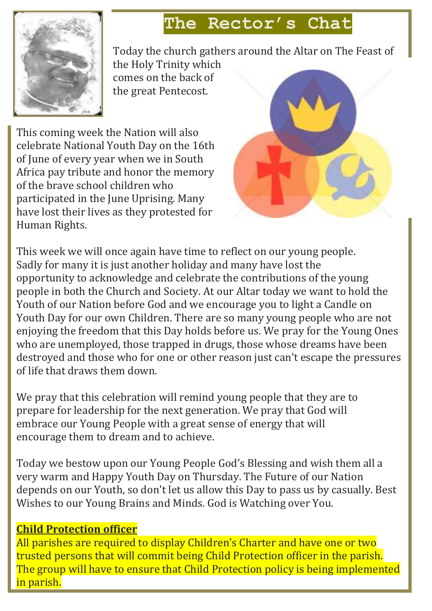# **The Rector's Chat**



Today the church gathers around the Altar on The Feast of

the Holy Trinity which comes on the back of the great Pentecost.

This coming week the Nation will also celebrate National Youth Day on the 16th of June of every year when we in South Africa pay tribute and honor the memory of the brave school children who participated in the June Uprising. Many have lost their lives as they protested for Human Rights.



This week we will once again have time to reflect on our young people. Sadly for many it is just another holiday and many have lost the opportunity to acknowledge and celebrate the contributions of the young people in both the Church and Society. At our Altar today we want to hold the Youth of our Nation before God and we encourage you to light a Candle on Youth Day for our own Children. There are so many young people who are not enjoying the freedom that this Day holds before us. We pray for the Young Ones who are unemployed, those trapped in drugs, those whose dreams have been destroyed and those who for one or other reason just can't escape the pressures of life that draws them down.

We pray that this celebration will remind young people that they are to prepare for leadership for the next generation. We pray that God will embrace our Young People with a great sense of energy that will encourage them to dream and to achieve.

Today we bestow upon our Young People God's Blessing and wish them all a very warm and Happy Youth Day on Thursday. The Future of our Nation depends on our Youth, so don't let us allow this Day to pass us by casually. Best Wishes to our Young Brains and Minds. God is Watching over You.

## **Child Protection officer**

All parishes are required to display Children's Charter and have one or two trusted persons that will commit being Child Protection officer in the parish. The group will have to ensure that Child Protection policy is being implemented in parish.